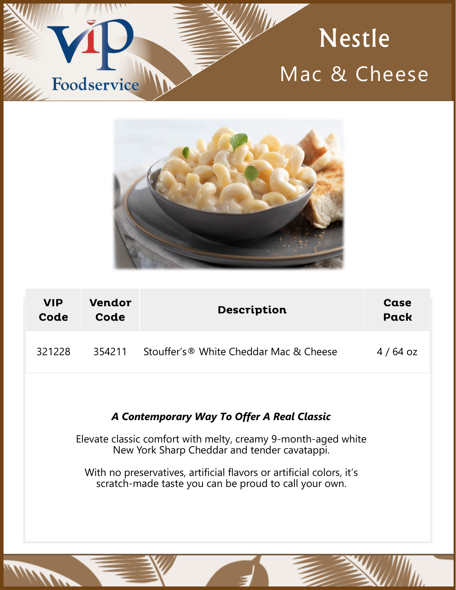# **Nestle** Mac & Cheese



Foodservice

<u>alaban </u>

| <b>VIP</b> | Vendor | <b>Description</b>                      | Case      |
|------------|--------|-----------------------------------------|-----------|
| Code       | Code   |                                         | Pack      |
| 321228     | 354211 | Stouffer's ® White Cheddar Mac & Cheese | $4/64$ oz |

## *A Contemporary Way To Offer A Real Classic*

Elevate classic comfort with melty, creamy 9-month-aged white New York Sharp Cheddar and tender cavatappi.

With no preservatives, artificial flavors or artificial colors, it's scratch-made taste you can be proud to call your own.